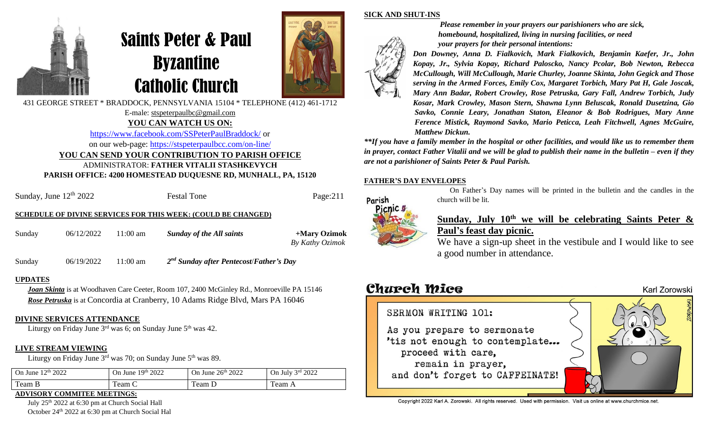

# Saints Peter & Paul Byzantine Catholic Church



*Please remember in your prayers our parishioners who are sick, homebound, hospitalized, living in nursing facilities, or need your prayers for their personal intentions:*

*Don Downey, Anna D. Fialkovich, Mark Fialkovich, Benjamin Kaefer, Jr., John Kopay, Jr., Sylvia Kopay, Richard Paloscko, Nancy Pcolar, Bob Newton, Rebecca McCullough, Will McCullough, Marie Churley, Joanne Skinta, John Gegick and Those serving in the Armed Forces, Emily Cox, Margaret Torbich, Mary Pat H, Gale Joscak, Mary Ann Badar, Robert Crowley, Rose Petruska, Gary Fall, Andrew Torbich, Judy Kosar, Mark Crowley, Mason Stern, Shawna Lynn Beluscak, Ronald Dusetzina, Gio Savko, Connie Leary, Jonathan Staton, Eleanor & Bob Rodrigues, Mary Anne Ference Mistick, Raymond Savko, Mario Peticca, Leah Fitchwell, Agnes McGuire, Matthew Dickun.*

*\*\*If you have a family member in the hospital or other facilities, and would like us to remember them* in prayer, contact Father Vitalii and we will be glad to publish their name in the bulletin – even if they *are not a parishioner of Saints Peter & Paul Parish.*

### **FATHER'S DAY ENVELOPES**

**SICK AND SHUT-INS**



On Father's Day names will be printed in the bulletin and the candles in the church will be lit.

### Sunday, July 10<sup>th</sup> we will be celebrating Saints Peter & **Paul's feast day picnic.**

We have a sign-up sheet in the vestibule and I would like to see a good number in attendance.

Karl Zorowski

## **Charch Mice**



Copyright 2022 Karl A. Zorowski. All rights reserved. Used with permission. Visit us online at www.churchmice.net

431 GEORGE STREET \* BRADDOCK, PENNSYLVANIA 15104 \* TELEPHONE (412) 461-1712 E-male: stspeterpaulbc@gmail.com **YOU CAN WATCH US ON:**

<https://www.facebook.com/SSPeterPaulBraddock/> or

on our web-page: <https://stspeterpaulbcc.com/on-line/>

### **YOU CAN SEND YOUR CONTRIBUTION TO PARISH OFFICE** ADMINISTRATOR: **FATHER VITALII STASHKEVYCH PARISH OFFICE: 4200 HOMESTEAD DUQUESNE RD, MUNHALL, PA, 15120**

| Sunday, June $12th 2022$ |            |                    | <b>Festal Tone</b>                                                   | Page: $211$                     |
|--------------------------|------------|--------------------|----------------------------------------------------------------------|---------------------------------|
|                          |            |                    | <b>SCHEDULE OF DIVINE SERVICES FOR THIS WEEK: (COULD BE CHANGED)</b> |                                 |
| Sunday                   | 06/12/2022 | $11:00 \text{ am}$ | <b>Sunday of the All saints</b>                                      | +Mary Ozimok<br>By Kathy Ozimok |

Sunday 06/19/2022 11:00 am *2 nd Sunday after Pentecost*/*Father's Day*

### **UPDATES**

*Joan Skinta* is at Woodhaven Care Ceeter, Room 107, 2400 McGinley Rd., Monroeville PA 15146 *Rose Petruska* is at Concordia at Cranberry, 10 Adams Ridge Blvd, Mars PA 16046

### **DIVINE SERVICES ATTENDANCE**

Liturgy on Friday June  $3<sup>rd</sup>$  was 6; on Sunday June  $5<sup>th</sup>$  was 42.

### **LIVE STREAM VIEWING**

Liturgy on Friday June  $3<sup>rd</sup>$  was 70; on Sunday June  $5<sup>th</sup>$  was 89.

| $12^{th}$ 2022<br>On June | 19 <sup>th</sup> 2022<br>June<br>. Jn | 26 <sup>th</sup> 2022<br>On June: | On July $3rd 2022$ |
|---------------------------|---------------------------------------|-----------------------------------|--------------------|
| Team B                    | 'eam C                                | ream L                            | eam                |

### **ADVISORY COMMITEE MEETINGS:**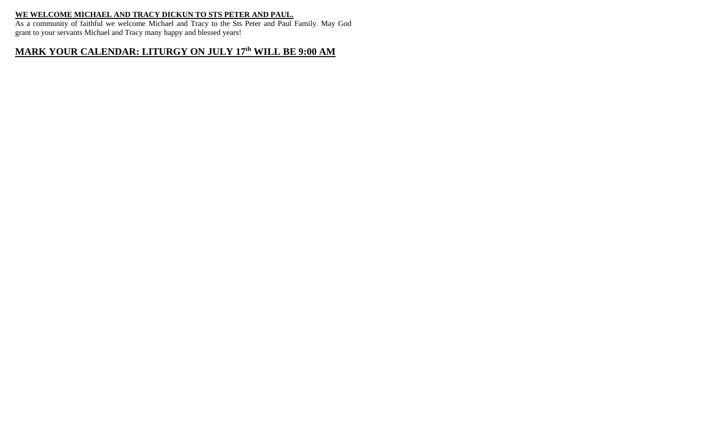### **WE WELCOME MICHAEL AND TRACY DICKUN TO STS PETER AND PAUL.**

As a community of faithful we welcome Michael and Tracy to the Sts Peter and Paul Family. May God grant to your servants Michael and Tracy many happy and blessed years!

## **MARK YOUR CALENDAR: LITURGY ON JULY 17th WILL BE 9:00 AM**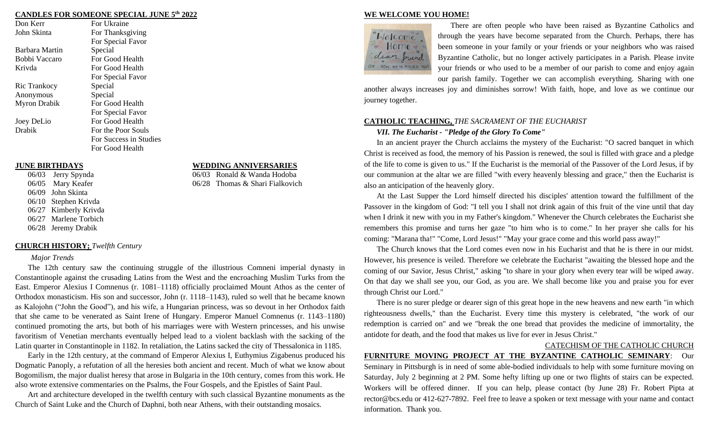### **CANDLES FOR SOMEONE SPECIAL JUNE 5th 2022**

| Don Kerr            | For Ukraine            |  |
|---------------------|------------------------|--|
| John Skinta         | For Thanksgiving       |  |
|                     | For Special Favor      |  |
| Barbara Martin      | Special                |  |
| Bobbi Vaccaro       | For Good Health        |  |
| Krivda              | For Good Health        |  |
|                     | For Special Favor      |  |
| Ric Trankocy        | Special                |  |
| Anonymous           | Special                |  |
| <b>Myron Drabik</b> | For Good Health        |  |
|                     | For Special Favor      |  |
| Joey DeLio          | For Good Health        |  |
| Drabik              | For the Poor Souls     |  |
|                     | For Success in Studies |  |
|                     | For Good Health        |  |

### **JUNE BIRTHDAYS WEDDING ANNIVERSARIES**

06/03 Jerry Spynda 06/03 Ronald & Wanda Hodoba 06/05 Mary Keafer 06/28 Thomas & Shari Fialkovich 06/09 John Skinta 06/10 Stephen Krivda 06/27 Kimberly Krivda 06/27 Marlene Torbich 06/28 Jeremy Drabik

### **CHURCH HISTORY;** *Twelfth Century*

### *Major Trends*

The 12th century saw the continuing struggle of the illustrious Comneni imperial dynasty in Constantinople against the crusading Latins from the West and the encroaching Muslim Turks from the East. Emperor Alexius I Comnenus (r. 1081–1118) officially proclaimed Mount Athos as the center of Orthodox monasticism. His son and successor, John (r. 1118–1143), ruled so well that he became known as Kalojohn ("John the Good"), and his wife, a Hungarian princess, was so devout in her Orthodox faith that she came to be venerated as Saint Irene of Hungary. Emperor Manuel Comnenus (r. 1143–1180) continued promoting the arts, but both of his marriages were with Western princesses, and his unwise favoritism of Venetian merchants eventually helped lead to a violent backlash with the sacking of the Latin quarter in Constantinople in 1182. In retaliation, the Latins sacked the city of Thessalonica in 1185.

Early in the 12th century, at the command of Emperor Alexius I, Euthymius Zigabenus produced his Dogmatic Panoply, a refutation of all the heresies both ancient and recent. Much of what we know about Bogomilism, the major dualist heresy that arose in Bulgaria in the 10th century, comes from this work. He also wrote extensive commentaries on the Psalms, the Four Gospels, and the Epistles of Saint Paul.

Art and architecture developed in the twelfth century with such classical Byzantine monuments as the Church of Saint Luke and the Church of Daphni, both near Athens, with their outstanding mosaics.

### **WE WELCOME YOU HOME!**



There are often people who have been raised as Byzantine Catholics and through the years have become separated from the Church. Perhaps, there has been someone in your family or your friends or your neighbors who was raised Byzantine Catholic, but no longer actively participates in a Parish. Please invite your friends or who used to be a member of our parish to come and enjoy again our parish family. Together we can accomplish everything. Sharing with one

another always increases joy and diminishes sorrow! With faith, hope, and love as we continue our journey together.

### **CATHOLIC TEACHING,** *THE SACRAMENT OF THE EUCHARIST*

### *VII. The Eucharist - "Pledge of the Glory To Come"*

In an ancient prayer the Church acclaims the mystery of the Eucharist: "O sacred banquet in which Christ is received as food, the memory of his Passion is renewed, the soul is filled with grace and a pledge of the life to come is given to us." If the Eucharist is the memorial of the Passover of the Lord Jesus, if by our communion at the altar we are filled "with every heavenly blessing and grace," then the Eucharist is also an anticipation of the heavenly glory.

At the Last Supper the Lord himself directed his disciples' attention toward the fulfillment of the Passover in the kingdom of God: "I tell you I shall not drink again of this fruit of the vine until that day when I drink it new with you in my Father's kingdom." Whenever the Church celebrates the Eucharist she remembers this promise and turns her gaze "to him who is to come." In her prayer she calls for his coming: "Marana tha!" "Come, Lord Jesus!" "May your grace come and this world pass away!"

The Church knows that the Lord comes even now in his Eucharist and that he is there in our midst. However, his presence is veiled. Therefore we celebrate the Eucharist "awaiting the blessed hope and the coming of our Savior, Jesus Christ," asking "to share in your glory when every tear will be wiped away. On that day we shall see you, our God, as you are. We shall become like you and praise you for ever through Christ our Lord."

There is no surer pledge or dearer sign of this great hope in the new heavens and new earth "in which righteousness dwells," than the Eucharist. Every time this mystery is celebrated, "the work of our redemption is carried on" and we "break the one bread that provides the medicine of immortality, the antidote for death, and the food that makes us live for ever in Jesus Christ."

### CATECHISM OF THE CATHOLIC CHURCH

**FURNITURE MOVING PROJECT AT THE BYZANTINE CATHOLIC SEMINARY**: Our Seminary in Pittsburgh is in need of some able-bodied individuals to help with some furniture moving on Saturday, July 2 beginning at 2 PM. Some hefty lifting up one or two flights of stairs can be expected. Workers will be offered dinner. If you can help, please contact (by June 28) Fr. Robert Pipta at rector@bcs.edu or 412-627-7892. Feel free to leave a spoken or text message with your name and contact information. Thank you.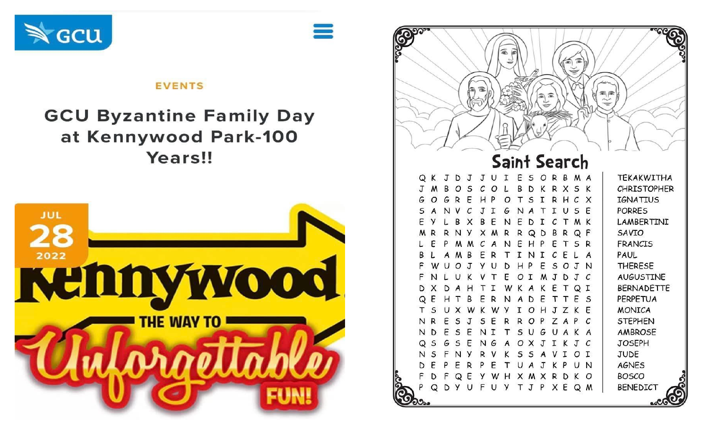



## **EVENTS**

## **GCU Byzantine Family Day** at Kennywood Park-100 Years!!



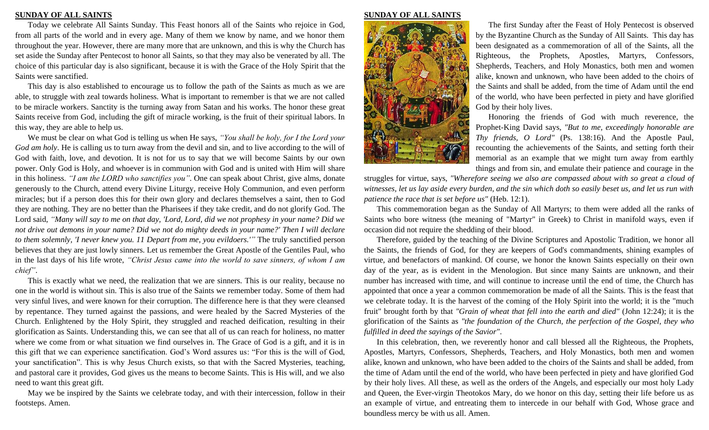### **SUNDAY OF ALL SAINTS**

Today we celebrate All Saints Sunday. This Feast honors all of the Saints who rejoice in God, from all parts of the world and in every age. Many of them we know by name, and we honor them throughout the year. However, there are many more that are unknown, and this is why the Church has set aside the Sunday after Pentecost to honor all Saints, so that they may also be venerated by all. The choice of this particular day is also significant, because it is with the Grace of the Holy Spirit that the Saints were sanctified.

This day is also established to encourage us to follow the path of the Saints as much as we are able, to struggle with zeal towards holiness. What is important to remember is that we are not called to be miracle workers. Sanctity is the turning away from Satan and his works. The honor these great Saints receive from God, including the gift of miracle working, is the fruit of their spiritual labors. In this way, they are able to help us.

We must be clear on what God is telling us when He says, *"You shall be holy, for I the Lord your God am holy*. He is calling us to turn away from the devil and sin, and to live according to the will of God with faith, love, and devotion. It is not for us to say that we will become Saints by our own power. Only God is Holy, and whoever is in communion with God and is united with Him will share in this holiness. *"I am the LORD who sanctifies you"*. One can speak about Christ, give alms, donate generously to the Church, attend every Divine Liturgy, receive Holy Communion, and even perform miracles; but if a person does this for their own glory and declares themselves a saint, then to God they are nothing. They are no better than the Pharisees if they take credit, and do not glorify God. The Lord said, *"Many will say to me on that day, 'Lord, Lord, did we not prophesy in your name? Did we not drive out demons in your name? Did we not do mighty deeds in your name?' Then I will declare to them solemnly, 'I never knew you. 11 Depart from me, you evildoers.'"* The truly sanctified person believes that they are just lowly sinners. Let us remember the Great Apostle of the Gentiles Paul, who in the last days of his life wrote, *"Christ Jesus came into the world to save sinners, of whom I am chief"*.

This is exactly what we need, the realization that we are sinners. This is our reality, because no one in the world is without sin. This is also true of the Saints we remember today. Some of them had very sinful lives, and were known for their corruption. The difference here is that they were cleansed by repentance. They turned against the passions, and were healed by the Sacred Mysteries of the Church. Enlightened by the Holy Spirit, they struggled and reached deification, resulting in their glorification as Saints. Understanding this, we can see that all of us can reach for holiness, no matter where we come from or what situation we find ourselves in. The Grace of God is a gift, and it is in this gift that we can experience sanctification. God's Word assures us: "For this is the will of God, your sanctification". This is why Jesus Church exists, so that with the Sacred Mysteries, teaching, and pastoral care it provides, God gives us the means to become Saints. This is His will, and we also need to want this great gift.

May we be inspired by the Saints we celebrate today, and with their intercession, follow in their footsteps. Amen.

#### **SUNDAY OF ALL SAINTS**



The first Sunday after the Feast of Holy Pentecost is observed by the Byzantine Church as the Sunday of All Saints. This day has been designated as a commemoration of all of the Saints, all the Righteous, the Prophets, Apostles, Martyrs, Confessors, Shepherds, Teachers, and Holy Monastics, both men and women alike, known and unknown, who have been added to the choirs of the Saints and shall be added, from the time of Adam until the end of the world, who have been perfected in piety and have glorified God by their holy lives.

Honoring the friends of God with much reverence, the Prophet-King David says, *"But to me, exceedingly honorable are Thy friends, O Lord"* (Ps. 138:16). And the Apostle Paul, recounting the achievements of the Saints, and setting forth their memorial as an example that we might turn away from earthly things and from sin, and emulate their patience and courage in the

struggles for virtue, says, *"Wherefore seeing we also are compassed about with so great a cloud of witnesses, let us lay aside every burden, and the sin which doth so easily beset us, and let us run with patience the race that is set before us"* (Heb. 12:1).

This commemoration began as the Sunday of All Martyrs; to them were added all the ranks of Saints who bore witness (the meaning of "Martyr" in Greek) to Christ in manifold ways, even if occasion did not require the shedding of their blood.

Therefore, guided by the teaching of the Divine Scriptures and Apostolic Tradition, we honor all the Saints, the friends of God, for they are keepers of God's commandments, shining examples of virtue, and benefactors of mankind. Of course, we honor the known Saints especially on their own day of the year, as is evident in the Menologion. But since many Saints are unknown, and their number has increased with time, and will continue to increase until the end of time, the Church has appointed that once a year a common commemoration be made of all the Saints. This is the feast that we celebrate today. It is the harvest of the coming of the Holy Spirit into the world; it is the "much fruit" brought forth by that *"Grain of wheat that fell into the earth and died"* (John 12:24); it is the glorification of the Saints as *"the foundation of the Church, the perfection of the Gospel, they who fulfilled in deed the sayings of the Savior"*.

In this celebration, then, we reverently honor and call blessed all the Righteous, the Prophets, Apostles, Martyrs, Confessors, Shepherds, Teachers, and Holy Monastics, both men and women alike, known and unknown, who have been added to the choirs of the Saints and shall be added, from the time of Adam until the end of the world, who have been perfected in piety and have glorified God by their holy lives. All these, as well as the orders of the Angels, and especially our most holy Lady and Queen, the Ever-virgin Theotokos Mary, do we honor on this day, setting their life before us as an example of virtue, and entreating them to intercede in our behalf with God, Whose grace and boundless mercy be with us all. Amen.